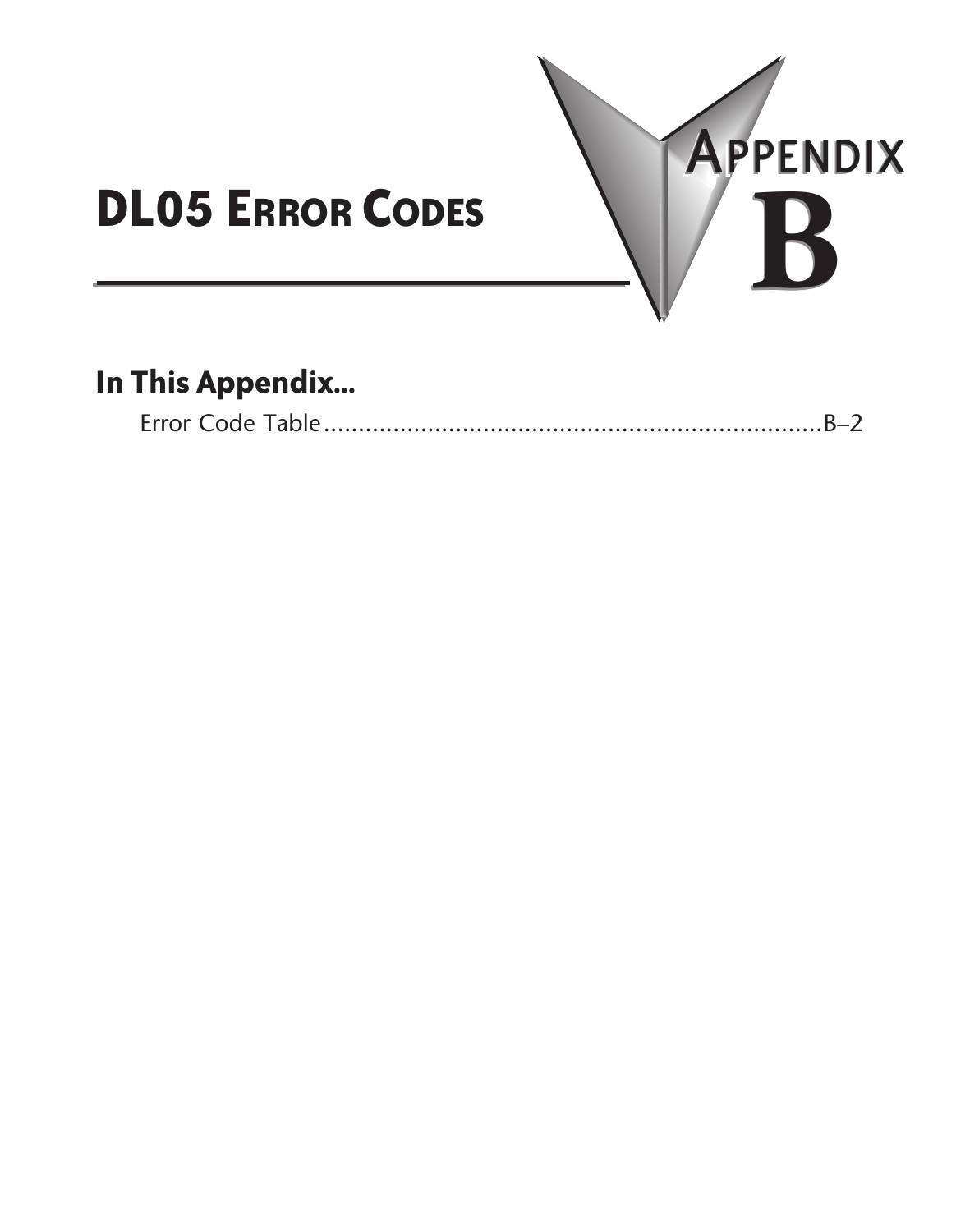

## **In This Appendix...**

|--|--|--|--|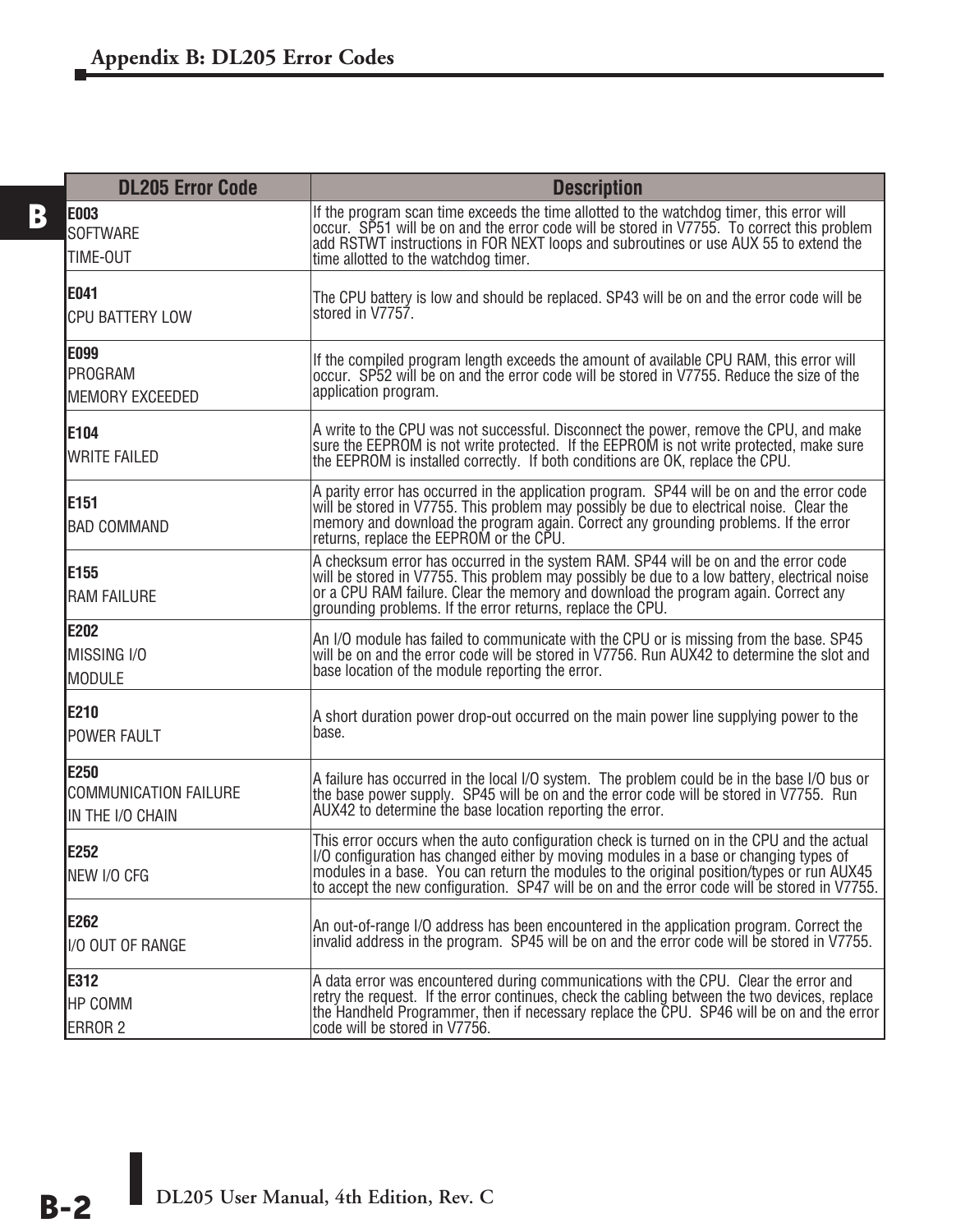| <b>DL205 Error Code</b>                           | <b>Description</b>                                                                                                                                                                                                                                                                                                                                                               |
|---------------------------------------------------|----------------------------------------------------------------------------------------------------------------------------------------------------------------------------------------------------------------------------------------------------------------------------------------------------------------------------------------------------------------------------------|
| E003<br><b>SOFTWARE</b><br>TIME-OUT               | If the program scan time exceeds the time allotted to the watchdog timer, this error will<br>occur. SP51 will be on and the error code will be stored in V7755. To correct this problem<br>add RSTWT instructions in FOR NEXT loops and subroutines or use AUX 55 to extend the<br>time allotted to the watchdog timer.                                                          |
| E041<br><b>CPU BATTERY LOW</b>                    | The CPU battery is low and should be replaced. SP43 will be on and the error code will be<br>stored in V7757.                                                                                                                                                                                                                                                                    |
| E099<br>PROGRAM<br><b>MEMORY EXCEEDED</b>         | If the compiled program length exceeds the amount of available CPU RAM, this error will<br>occur. SP52 will be on and the error code will be stored in V7755. Reduce the size of the<br>application program.                                                                                                                                                                     |
| E104<br><b>WRITE FAILED</b>                       | A write to the CPU was not successful. Disconnect the power, remove the CPU, and make<br>sure the EEPROM is not write protected. If the EEPROM is not write protected, make sure<br>the EEPROM is installed correctly. If both conditions are OK, replace the CPU.                                                                                                               |
| E151<br><b>BAD COMMAND</b>                        | A parity error has occurred in the application program. SP44 will be on and the error code<br>will be stored in V7755. This problem may possibly be due to electrical noise. Clear the<br>memory and download the program again. Correct any grounding problems. If the error<br>returns. replace the EEPROM or the CPU.                                                         |
| E155<br><b>RAM FAILURE</b>                        | A checksum error has occurred in the system RAM. SP44 will be on and the error code<br>will be stored in V7755. This problem may possibly be due to a low battery, electrical noise<br>or a CPU RAM failure. Clear the memory and download the program again. Correct any<br>grounding problems. If the error returns, replace the CPU.                                          |
| E202<br>MISSING I/O<br><b>MODULE</b>              | An I/O module has failed to communicate with the CPU or is missing from the base. SP45<br>will be on and the error code will be stored in V7756. Run AUX42 to determine the slot and<br>base location of the module reporting the error.                                                                                                                                         |
| E210<br><b>POWER FAULT</b>                        | A short duration power drop-out occurred on the main power line supplying power to the<br>base.                                                                                                                                                                                                                                                                                  |
| E250<br>COMMUNICATION FAILURE<br>IN THE I/O CHAIN | A failure has occurred in the local I/O system. The problem could be in the base I/O bus or<br>the base power supply. SP45 will be on and the error code will be stored in V7755. Run<br>AUX42 to determine the base location reporting the error.                                                                                                                               |
| E252<br>NEW I/O CFG                               | This error occurs when the auto configuration check is turned on in the CPU and the actual<br>I/O configuration has changed either by moving modules in a base or changing types of<br>modules in a base. You can return the modules to the original position/types or run AUX45<br>to accept the new configuration. SP47 will be on and the error code will be stored in V7755. |
| E262<br>I/O OUT OF RANGE                          | An out-of-range I/O address has been encountered in the application program. Correct the<br>invalid address in the program. SP45 will be on and the error code will be stored in V7755.                                                                                                                                                                                          |
| E312<br>HP COMM<br><b>ERROR 2</b>                 | A data error was encountered during communications with the CPU. Clear the error and<br>retry the request. If the error continues, check the cabling between the two devices, replace<br>the Handheld Programmer, then if necessary replace the CPU. SP46 will be on and the error<br>code will be stored in V7756.                                                              |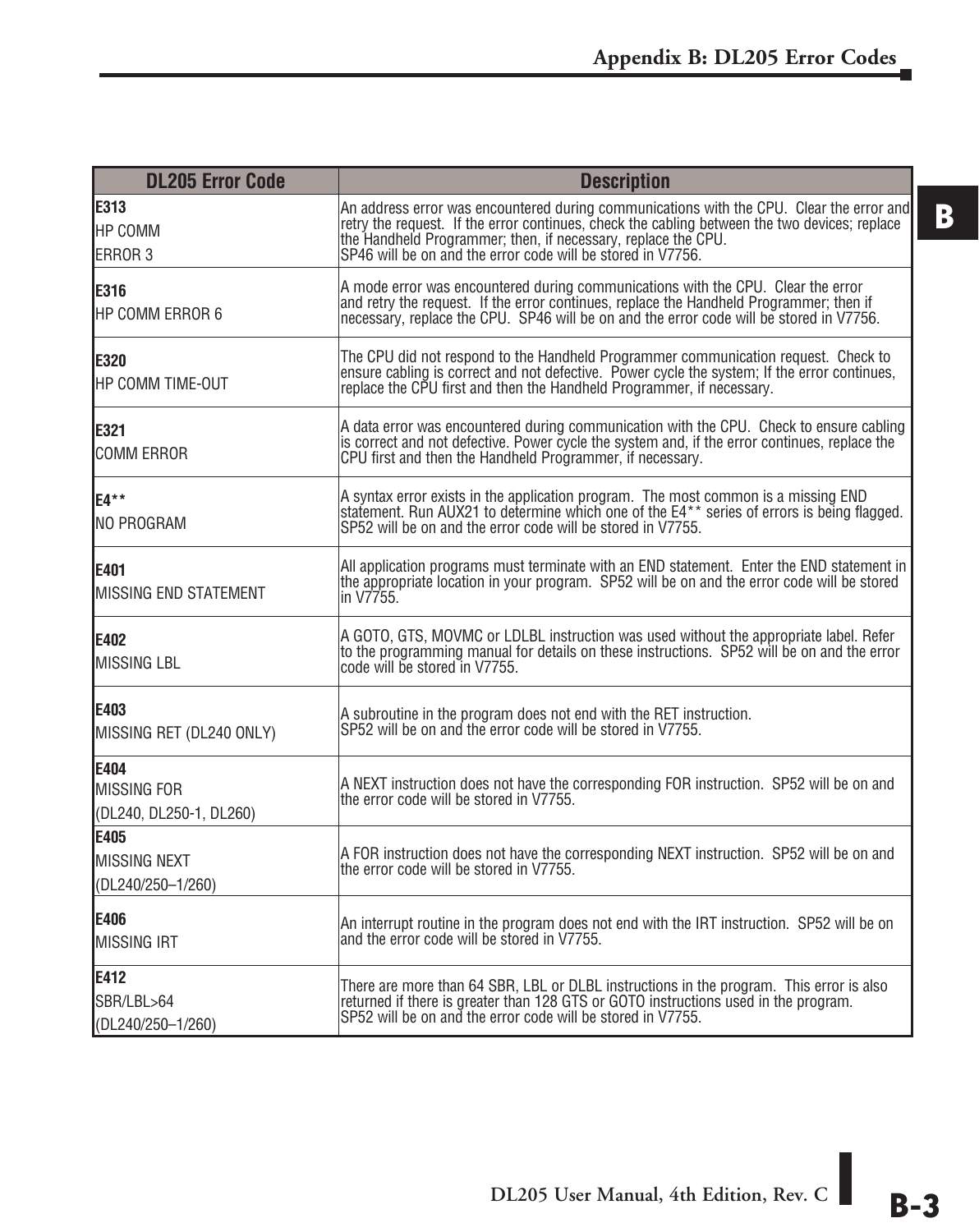| <b>DL205 Error Code</b>                               | <b>Description</b>                                                                                                                                                                                                                                                                                                        |
|-------------------------------------------------------|---------------------------------------------------------------------------------------------------------------------------------------------------------------------------------------------------------------------------------------------------------------------------------------------------------------------------|
| E313<br>HP COMM<br>ERROR 3                            | An address error was encountered during communications with the CPU. Clear the error and<br>retry the request. If the error continues, check the cabling between the two devices; replace<br>the Handheld Programmer; then, if necessary, replace the CPU.<br>SP46 will be on and the error code will be stored in V7756. |
| E316<br>HP COMM ERROR 6                               | A mode error was encountered during communications with the CPU. Clear the error<br>and retry the request. If the error continues, replace the Handheld Programmer; then if<br>necessary, replace the CPU. SP46 will be on and the error code will be stored in V7756.                                                    |
| E320<br>HP COMM TIME-OUT                              | The CPU did not respond to the Handheld Programmer communication request. Check to<br>ensure cabling is correct and not defective. Power cycle the system; If the error continues,<br>replace the CPU first and then the Handheld Programmer, if necessary.                                                               |
| E321<br><b>COMM ERROR</b>                             | A data error was encountered during communication with the CPU. Check to ensure cabling<br>is correct and not defective. Power cycle the system and, if the error continues, replace the<br>CPU first and then the Handheld Programmer, if necessary.                                                                     |
| E4**<br>INO PROGRAM                                   | A syntax error exists in the application program. The most common is a missing END<br>statement. Run AUX21 to determine which one of the E4 <sup>**</sup> series of errors is being flagged.<br>SP52 will be on and the error code will be stored in V7755.                                                               |
| E401<br>MISSING END STATEMENT                         | All application programs must terminate with an END statement. Enter the END statement in<br>the appropriate location in your program. SP52 will be on and the error code will be stored<br>in V7755.                                                                                                                     |
| E402<br>MISSING LBL                                   | A GOTO, GTS, MOVMC or LDLBL instruction was used without the appropriate label. Refer<br>to the programming manual for details on these instructions. SP52 will be on and the error<br>code will be stored in V7755.                                                                                                      |
| E403<br>MISSING RET (DL240 ONLY)                      | A subroutine in the program does not end with the RET instruction.<br>SP52 will be on and the error code will be stored in V7755.                                                                                                                                                                                         |
| E404<br><b>MISSING FOR</b><br>(DL240, DL250-1, DL260) | A NEXT instruction does not have the corresponding FOR instruction. SP52 will be on and<br>the error code will be stored in V7755.                                                                                                                                                                                        |
| E405<br>MISSING NEXT<br>(DL240/250-1/260)             | A FOR instruction does not have the corresponding NEXT instruction. SP52 will be on and<br>the error code will be stored in V7755.                                                                                                                                                                                        |
| E406<br><b>MISSING IRT</b>                            | An interrupt routine in the program does not end with the IRT instruction. SP52 will be on<br>and the error code will be stored in V7755.                                                                                                                                                                                 |
| E412<br>SBR/LBL>64<br>(DL240/250-1/260)               | There are more than 64 SBR, LBL or DLBL instructions in the program. This error is also<br>returned if there is greater than 128 GTS or GOTO instructions used in the program.<br>SP52 will be on and the error code will be stored in V7755.                                                                             |

**DL205 User Manual, 4th Edition, Rev. C B-3**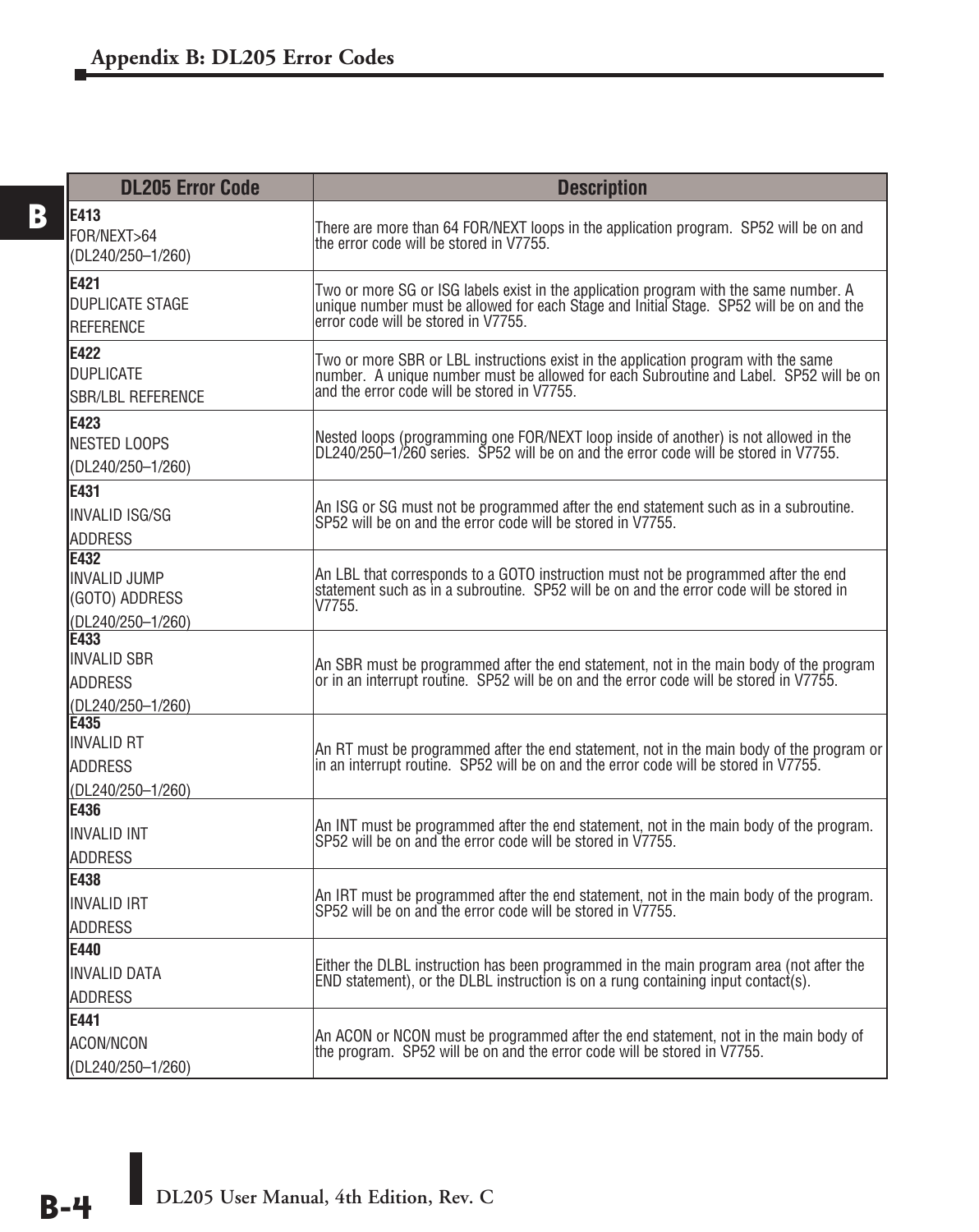| <b>DL205 Error Code</b>                                                   | <b>Description</b>                                                                                                                                                                                                          |
|---------------------------------------------------------------------------|-----------------------------------------------------------------------------------------------------------------------------------------------------------------------------------------------------------------------------|
| E413<br>FOR/NEXT>64<br>(DL240/250-1/260)                                  | There are more than 64 FOR/NEXT loops in the application program. SP52 will be on and<br>the error code will be stored in V7755.                                                                                            |
| <b>E421</b><br><b>DUPLICATE STAGE</b><br><b>REFERENCE</b>                 | Two or more SG or ISG labels exist in the application program with the same number. A<br>unique number must be allowed for each Stage and Initial Stage. SP52 will be on and the<br>error code will be stored in V7755.     |
| E422<br><b>DUPLICATE</b><br><b>SBR/LBL REFERENCE</b>                      | Two or more SBR or LBL instructions exist in the application program with the same<br>number. A unique number must be allowed for each Subroutine and Label. SP52 will be on<br>and the error code will be stored in V7755. |
| E423<br><b>NESTED LOOPS</b><br>(DL240/250-1/260)                          | Nested loops (programming one FOR/NEXT loop inside of another) is not allowed in the<br>DL240/250–1/260 series. SP52 will be on and the error code will be stored in V7755.                                                 |
| <b>F431</b><br><b>INVALID ISG/SG</b><br><b>ADDRESS</b>                    | An ISG or SG must not be programmed after the end statement such as in a subroutine.<br>SP52 will be on and the error code will be stored in V7755.                                                                         |
| <b>F432</b><br><b>INVALID JUMP</b><br>(GOTO) ADDRESS<br>(DL240/250-1/260) | An LBL that corresponds to a GOTO instruction must not be programmed after the end<br>statement such as in a subroutine. SP52 will be on and the error code will be stored in<br>V7755.                                     |
| È433<br><b>INVALID SBR</b><br><b>ADDRESS</b><br>(DL240/250-1/260)         | An SBR must be programmed after the end statement, not in the main body of the program<br>or in an interrupt routine. SP52 will be on and the error code will be stored in V7755.                                           |
| <b>E435</b><br><b>INVALID RT</b><br><b>ADDRESS</b><br>(DL240/250-1/260)   | An RT must be programmed after the end statement, not in the main body of the program or<br>in an interrupt routine. SP52 will be on and the error code will be stored in V7755.                                            |
| E436<br><b>INVALID INT</b><br><b>ADDRESS</b>                              | An INT must be programmed after the end statement, not in the main body of the program.<br>SP52 will be on and the error code will be stored in V7755.                                                                      |
| E438<br><b>INVALID IRT</b><br><b>ADDRESS</b>                              | An IRT must be programmed after the end statement, not in the main body of the program.<br>SP52 will be on and the error code will be stored in V7755.                                                                      |
| E440<br><b>INVALID DATA</b><br><b>ADDRESS</b>                             | Either the DLBL instruction has been programmed in the main program area (not after the<br>END statement), or the DLBL instruction is on a rung containing input contact(s).                                                |
| E441<br>ACON/NCON<br>(DL240/250-1/260)                                    | An ACON or NCON must be programmed after the end statement, not in the main body of<br>the program. SP52 will be on and the error code will be stored in V7755.                                                             |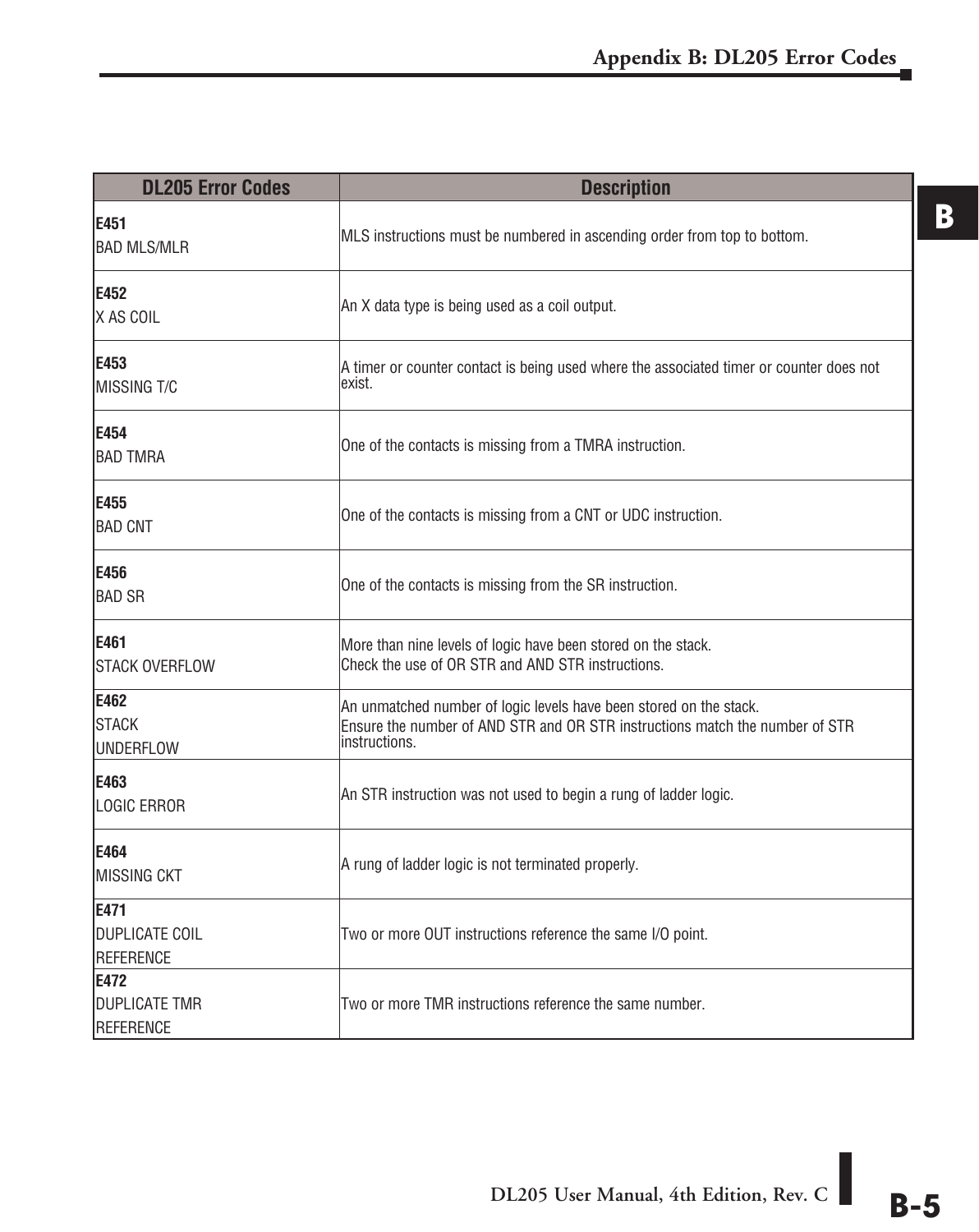| <b>DL205 Error Codes</b>                    | <b>Description</b>                                                                                                                                                  |
|---------------------------------------------|---------------------------------------------------------------------------------------------------------------------------------------------------------------------|
| E451<br><b>BAD MLS/MLR</b>                  | MLS instructions must be numbered in ascending order from top to bottom.                                                                                            |
| E452<br>IX AS COIL                          | An X data type is being used as a coil output.                                                                                                                      |
| E453<br>IMISSING T/C                        | A timer or counter contact is being used where the associated timer or counter does not<br>exist.                                                                   |
| E454<br><b>BAD TMRA</b>                     | One of the contacts is missing from a TMRA instruction.                                                                                                             |
| E455<br><b>BAD CNT</b>                      | One of the contacts is missing from a CNT or UDC instruction.                                                                                                       |
| E456<br><b>BAD SR</b>                       | One of the contacts is missing from the SR instruction.                                                                                                             |
| E461<br><b>ISTACK OVERFLOW</b>              | More than nine levels of logic have been stored on the stack.<br>Check the use of OR STR and AND STR instructions.                                                  |
| E462<br><b>I</b> STACK<br><b>IUNDERFLOW</b> | An unmatched number of logic levels have been stored on the stack.<br>Ensure the number of AND STR and OR STR instructions match the number of STR<br>instructions. |
| E463<br>LOGIC ERROR                         | An STR instruction was not used to begin a rung of ladder logic.                                                                                                    |
| E464<br>MISSING CKT                         | A rung of ladder logic is not terminated properly.                                                                                                                  |
| E471<br><b>DUPLICATE COIL</b><br>REFERENCE  | Two or more OUT instructions reference the same I/O point.                                                                                                          |
| E472<br><b>DUPLICATE TMR</b><br>REFERENCE   | Two or more TMR instructions reference the same number.                                                                                                             |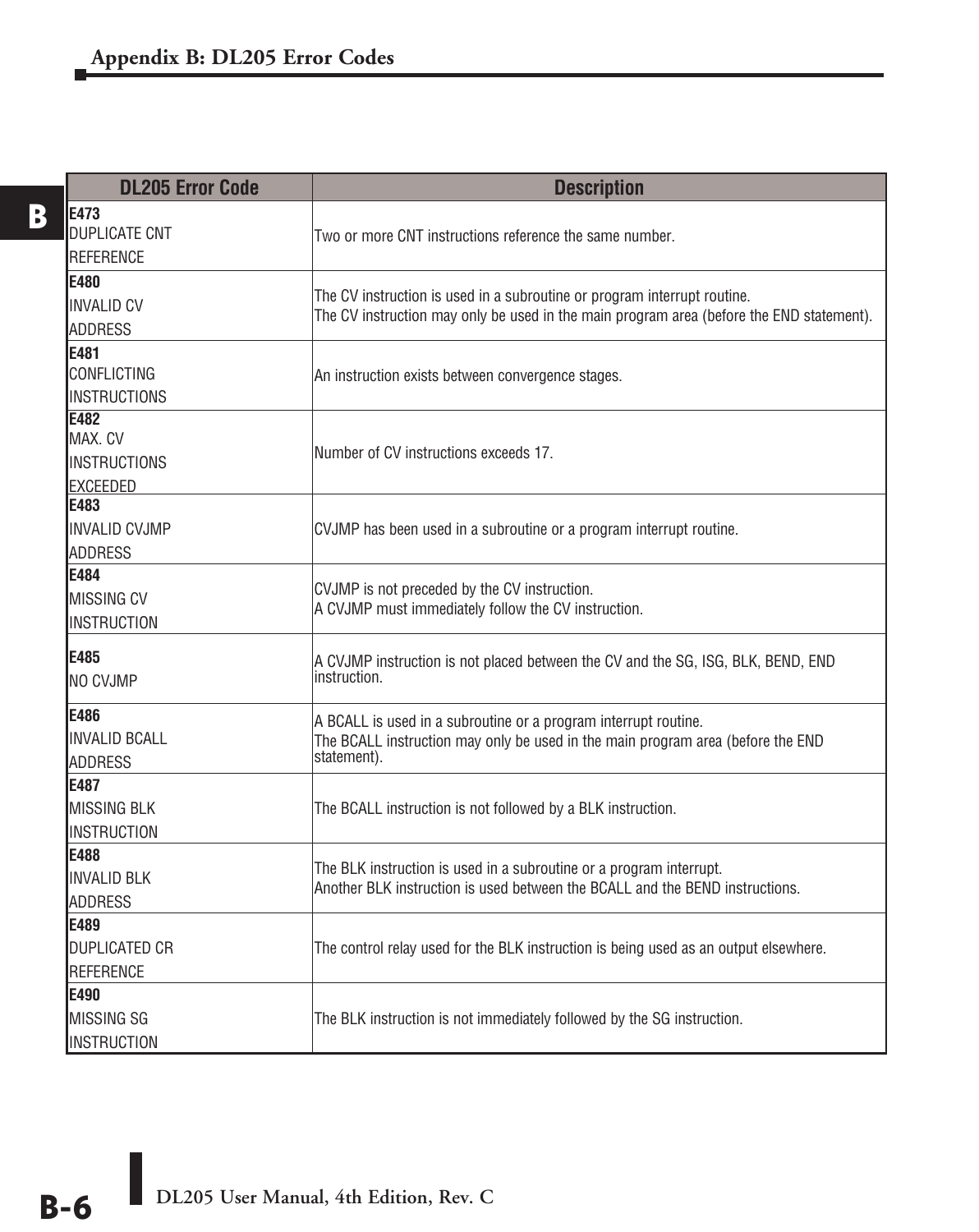| <b>DL205 Error Code</b>                                   | <b>Description</b>                                                                                                                                                   |
|-----------------------------------------------------------|----------------------------------------------------------------------------------------------------------------------------------------------------------------------|
| <b>E473</b><br><b>DUPLICATE CNT</b><br><b>REFERENCE</b>   | Two or more CNT instructions reference the same number.                                                                                                              |
| <b>E480</b><br><b>INVALID CV</b><br><b>ADDRESS</b>        | The CV instruction is used in a subroutine or program interrupt routine.<br>The CV instruction may only be used in the main program area (before the END statement). |
| <b>E481</b><br>CONFLICTING<br><b>INSTRUCTIONS</b>         | An instruction exists between convergence stages.                                                                                                                    |
| <b>E482</b><br>MAX. CV<br><b>INSTRUCTIONS</b><br>EXCEEDED | Number of CV instructions exceeds 17.                                                                                                                                |
| E483<br><b>INVALID CVJMP</b><br><b>ADDRESS</b>            | CVJMP has been used in a subroutine or a program interrupt routine.                                                                                                  |
| E484<br><b>MISSING CV</b><br>INSTRUCTION                  | CVJMP is not preceded by the CV instruction.<br>A CVJMP must immediately follow the CV instruction.                                                                  |
| <b>E485</b><br>NO CVJMP                                   | A CVJMP instruction is not placed between the CV and the SG, ISG, BLK, BEND, END<br>instruction.                                                                     |
| E486<br><b>INVALID BCALL</b><br><b>ADDRESS</b>            | A BCALL is used in a subroutine or a program interrupt routine.<br>The BCALL instruction may only be used in the main program area (before the END<br>statement).    |
| E487<br><b>MISSING BLK</b><br><b>INSTRUCTION</b>          | The BCALL instruction is not followed by a BLK instruction.                                                                                                          |
| E488<br><b>INVALID BLK</b><br><b>ADDRESS</b>              | The BLK instruction is used in a subroutine or a program interrupt.<br>Another BLK instruction is used between the BCALL and the BEND instructions.                  |
| E489<br><b>DUPLICATED CR</b><br><b>REFERENCE</b>          | The control relay used for the BLK instruction is being used as an output elsewhere.                                                                                 |
| E490<br>MISSING SG<br><b>INSTRUCTION</b>                  | The BLK instruction is not immediately followed by the SG instruction.                                                                                               |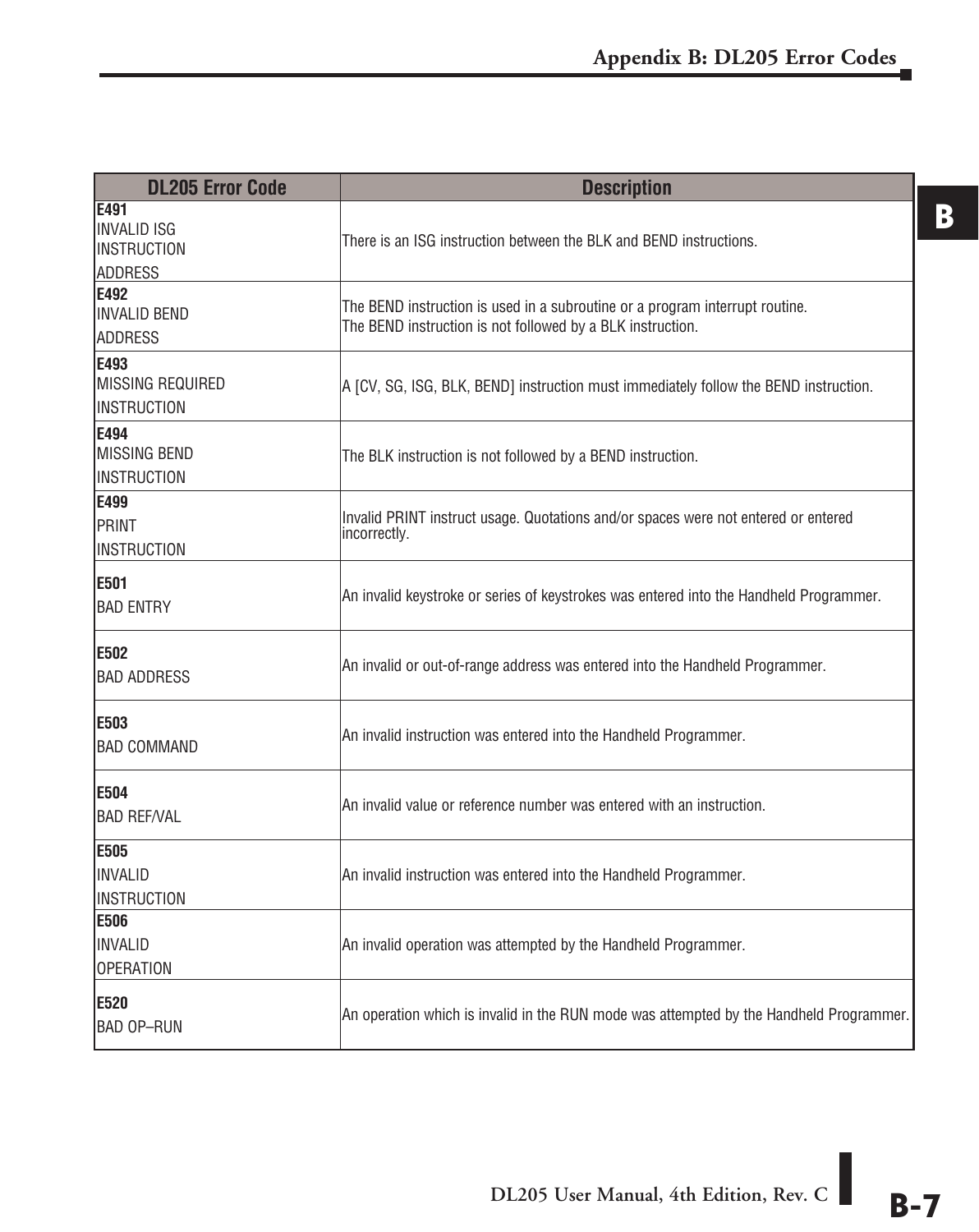| <b>DL205 Error Code</b>                                      | <b>Description</b>                                                                                                                         |
|--------------------------------------------------------------|--------------------------------------------------------------------------------------------------------------------------------------------|
| E491<br>IINVALID ISG<br><b>INSTRUCTION</b><br><b>ADDRESS</b> | There is an ISG instruction between the BLK and BEND instructions.                                                                         |
| E492<br><b>INVALID BEND</b><br><b>ADDRESS</b>                | The BEND instruction is used in a subroutine or a program interrupt routine.<br>The BEND instruction is not followed by a BLK instruction. |
| E493<br><b>MISSING REQUIRED</b><br><b>INSTRUCTION</b>        | A [CV, SG, ISG, BLK, BEND] instruction must immediately follow the BEND instruction.                                                       |
| E494<br><b>MISSING BEND</b><br><b>INSTRUCTION</b>            | The BLK instruction is not followed by a BEND instruction.                                                                                 |
| E499<br>PRINT<br><b>INSTRUCTION</b>                          | Invalid PRINT instruct usage. Quotations and/or spaces were not entered or entered<br>incorrectly.                                         |
| E501<br><b>BAD ENTRY</b>                                     | An invalid keystroke or series of keystrokes was entered into the Handheld Programmer.                                                     |
| E502<br><b>BAD ADDRESS</b>                                   | An invalid or out-of-range address was entered into the Handheld Programmer.                                                               |
| E503<br><b>BAD COMMAND</b>                                   | An invalid instruction was entered into the Handheld Programmer.                                                                           |
| E504<br><b>BAD REF/VAL</b>                                   | An invalid value or reference number was entered with an instruction.                                                                      |
| E505<br><b>INVALID</b><br><b>INSTRUCTION</b>                 | An invalid instruction was entered into the Handheld Programmer.                                                                           |
| E506<br>INVALID<br><b>OPERATION</b>                          | An invalid operation was attempted by the Handheld Programmer.                                                                             |
| E520<br><b>BAD OP-RUN</b>                                    | An operation which is invalid in the RUN mode was attempted by the Handheld Programmer.                                                    |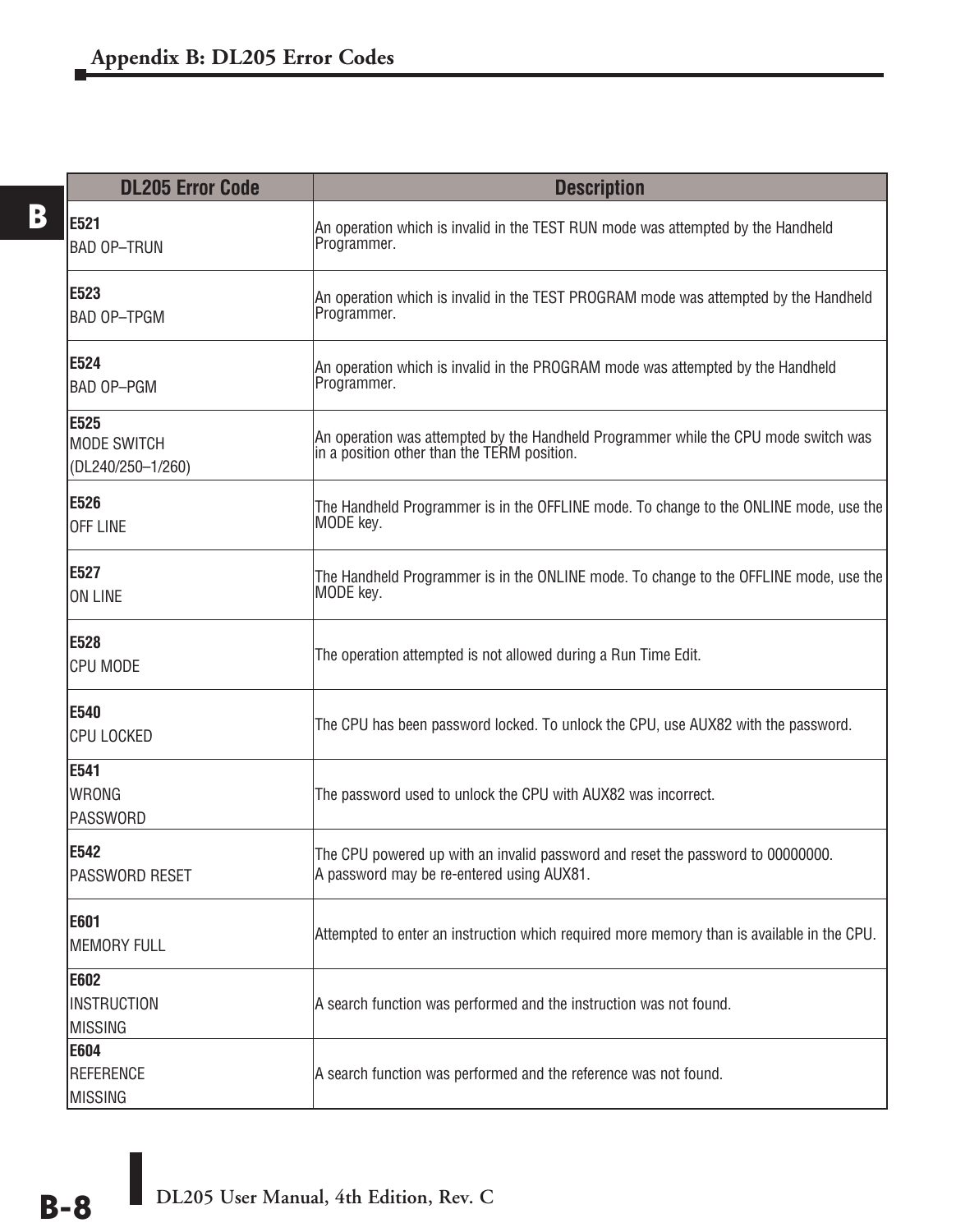| <b>DL205 Error Code</b>                         | <b>Description</b>                                                                                                                 |
|-------------------------------------------------|------------------------------------------------------------------------------------------------------------------------------------|
| E521<br><b>BAD OP-TRUN</b>                      | An operation which is invalid in the TEST RUN mode was attempted by the Handheld<br>Programmer.                                    |
| IE523<br><b>BAD OP-TPGM</b>                     | An operation which is invalid in the TEST PROGRAM mode was attempted by the Handheld<br>Programmer.                                |
| E524<br>BAD OP-PGM                              | An operation which is invalid in the PROGRAM mode was attempted by the Handheld<br>Programmer.                                     |
| E525<br><b>MODE SWITCH</b><br>(DL240/250-1/260) | An operation was attempted by the Handheld Programmer while the CPU mode switch was<br>in a position other than the TERM position. |
| E526<br><b>OFF LINE</b>                         | The Handheld Programmer is in the OFFLINE mode. To change to the ONLINE mode, use the<br>MODE key.                                 |
| E527<br>ON LINE                                 | The Handheld Programmer is in the ONLINE mode. To change to the OFFLINE mode, use the<br>MODE key.                                 |
| E528<br><b>CPU MODE</b>                         | The operation attempted is not allowed during a Run Time Edit.                                                                     |
| <b>E540</b><br><b>CPU LOCKED</b>                | The CPU has been password locked. To unlock the CPU, use AUX82 with the password.                                                  |
| E541<br><b>WRONG</b><br><b>PASSWORD</b>         | The password used to unlock the CPU with AUX82 was incorrect.                                                                      |
| <b>E542</b><br>PASSWORD RESET                   | The CPU powered up with an invalid password and reset the password to 00000000.<br>A password may be re-entered using AUX81.       |
| E601<br><b>MEMORY FULL</b>                      | Attempted to enter an instruction which required more memory than is available in the CPU.                                         |
| E602<br><b>INSTRUCTION</b><br>MISSING           | A search function was performed and the instruction was not found.                                                                 |
| <b>E604</b><br>REFERENCE<br><b>MISSING</b>      | A search function was performed and the reference was not found.                                                                   |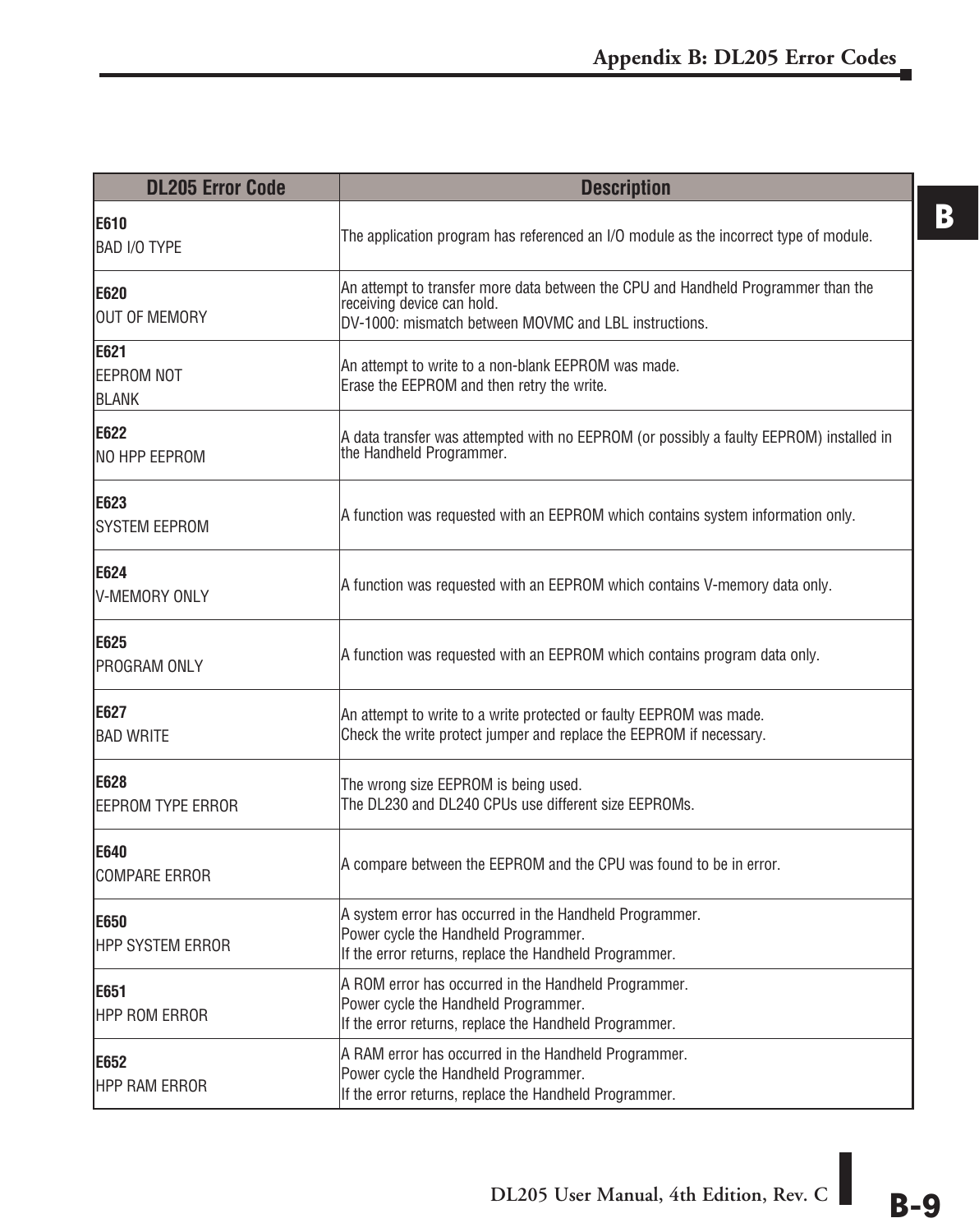| <b>DL205 Error Code</b>         | <b>Description</b>                                                                                                                                                       |
|---------------------------------|--------------------------------------------------------------------------------------------------------------------------------------------------------------------------|
| E610<br><b>BAD I/O TYPE</b>     | The application program has referenced an I/O module as the incorrect type of module.                                                                                    |
| E620<br>OUT OF MEMORY           | An attempt to transfer more data between the CPU and Handheld Programmer than the<br>receiving device can hold.<br>DV-1000: mismatch between MOVMC and LBL instructions. |
| E621<br>EEPROM NOT<br>BLANK     | An attempt to write to a non-blank EEPROM was made.<br>Erase the EEPROM and then retry the write.                                                                        |
| E622<br>INO HPP EEPROM          | A data transfer was attempted with no EEPROM (or possibly a faulty EEPROM) installed in<br>the Handheld Programmer.                                                      |
| E623<br><b>SYSTEM EEPROM</b>    | A function was requested with an EEPROM which contains system information only.                                                                                          |
| E624<br><b>V-MEMORY ONLY</b>    | A function was requested with an EEPROM which contains V-memory data only.                                                                                               |
| E625<br>PROGRAM ONLY            | A function was requested with an EEPROM which contains program data only.                                                                                                |
| E627<br><b>BAD WRITE</b>        | An attempt to write to a write protected or faulty EEPROM was made.<br>Check the write protect jumper and replace the EEPROM if necessary.                               |
| E628<br>EEPROM TYPE ERROR       | The wrong size EEPROM is being used.<br>The DL230 and DL240 CPUs use different size EEPROMs.                                                                             |
| E640<br><b>COMPARE ERROR</b>    | A compare between the EEPROM and the CPU was found to be in error.                                                                                                       |
| <b>E650</b><br>HPP SYSTEM ERROR | A system error has occurred in the Handheld Programmer.<br>Power cycle the Handheld Programmer.<br>If the error returns, replace the Handheld Programmer.                |
| E651<br><b>HPP ROM ERROR</b>    | A ROM error has occurred in the Handheld Programmer.<br>Power cycle the Handheld Programmer.<br>If the error returns, replace the Handheld Programmer.                   |
| E652<br><b>HPP RAM ERROR</b>    | A RAM error has occurred in the Handheld Programmer.<br>Power cycle the Handheld Programmer.<br>If the error returns, replace the Handheld Programmer.                   |